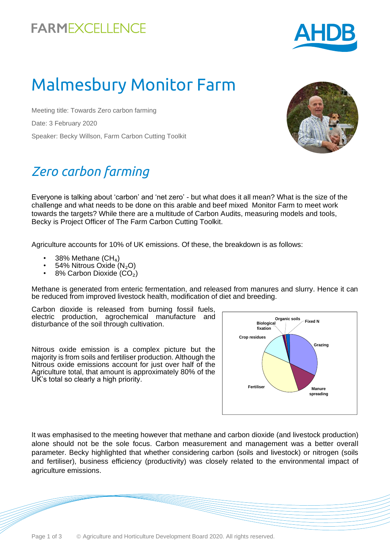## **FARMEXCELLENCE**



# Malmesbury Monitor Farm

Meeting title: Towards Zero carbon farming Date: 3 February 2020 Speaker: Becky Willson, Farm Carbon Cutting Toolkit

# *Zero carbon farming*

Everyone is talking about 'carbon' and 'net zero' - but what does it all mean? What is the size of the challenge and what needs to be done on this arable and beef mixed Monitor Farm to meet work towards the targets? While there are a multitude of Carbon Audits, measuring models and tools, Becky is Project Officer of The Farm Carbon Cutting Toolkit.

Agriculture accounts for 10% of UK emissions. Of these, the breakdown is as follows:

- 38% Methane  $(CH_4)$
- 54% Nitrous Oxide (N<sub>2</sub>O)
- 8% Carbon Dioxide (CO<sub>2</sub>)

Methane is generated from enteric fermentation, and released from manures and slurry. Hence it can be reduced from improved livestock health, modification of diet and breeding.

Carbon dioxide is released from burning fossil fuels, electric production, agrochemical manufacture and disturbance of the soil through cultivation.

Nitrous oxide emission is a complex picture but the majority is from soils and fertiliser production. Although the Nitrous oxide emissions account for just over half of the Agriculture total, that amount is approximately 80% of the UK's total so clearly a high priority.



It was emphasised to the meeting however that methane and carbon dioxide (and livestock production) alone should not be the sole focus. Carbon measurement and management was a better overall parameter. Becky highlighted that whether considering carbon (soils and livestock) or nitrogen (soils and fertiliser), business efficiency (productivity) was closely related to the environmental impact of agriculture emissions.

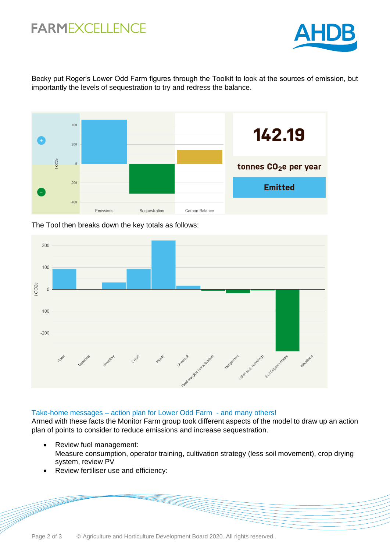### **FARMEXCELLENCE**



Becky put Roger's Lower Odd Farm figures through the Toolkit to look at the sources of emission, but importantly the levels of sequestration to try and redress the balance.



The Tool then breaks down the key totals as follows:



#### Take-home messages – action plan for Lower Odd Farm - and many others!

Armed with these facts the Monitor Farm group took different aspects of the model to draw up an action plan of points to consider to reduce emissions and increase sequestration.

- Review fuel management: Measure consumption, operator training, cultivation strategy (less soil movement), crop drying system, review PV
- Review fertiliser use and efficiency: